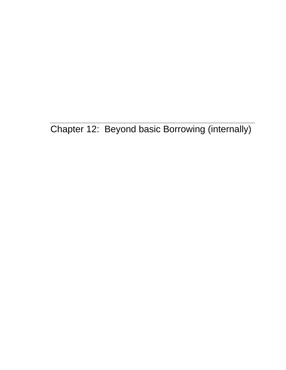Chapter 12: Beyond basic Borrowing (internally)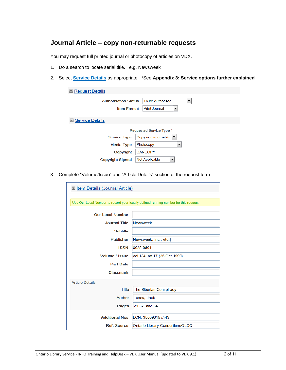## **Journal Article – copy non-returnable requests**

You may request full printed journal or photocopy of articles on VDX.

- 1. Do a search to locate serial title. e.g. Newsweek
- 2. Select **Service Details** as appropriate. \*See **Appendix 3: Service options further explained**

| Request Details             |                                             |
|-----------------------------|---------------------------------------------|
| <b>Authorisation Status</b> | To be Authorised<br>▼                       |
| <b>Item Format</b>          | Print Journal<br>▼                          |
| Service Details             |                                             |
|                             | Requested Service Type 1                    |
| <b>Service Type</b>         | Copy non returnable<br>$\blacktriangledown$ |
| <b>Media Type</b>           | Photocopy<br>▼                              |
| Copyright                   | <b>CANCOPY</b>                              |
| <b>Copyright Signed</b>     | Not Applicable<br>▼                         |

3. Complete "Volume/Issue" and "Article Details" section of the request form.

| In Item Details (Journal Article) |                                                                                     |
|-----------------------------------|-------------------------------------------------------------------------------------|
|                                   |                                                                                     |
|                                   | Use Our Local Number to record your locally defined running number for this request |
|                                   |                                                                                     |
| <b>Our Local Number</b>           |                                                                                     |
| <b>Journal Title</b>              | <b>Newsweek</b>                                                                     |
| <b>Subtitle</b>                   |                                                                                     |
| <b>Publisher</b>                  | Newsweek, Inc., etc.]                                                               |
| <b>ISSN</b>                       | 0028-9604                                                                           |
| <b>Volume / Issue</b>             | vol 134: no 17 (25 Oct 1999)                                                        |
| <b>Part Date</b>                  |                                                                                     |
| <b>Classmark</b>                  |                                                                                     |
| <b>Article Details</b>            |                                                                                     |
| <b>Title</b>                      | The Siberian Conspiracy                                                             |
| <b>Author</b>                     | Jones, Jack                                                                         |
| Pages                             | 29-32, and 64                                                                       |
|                                   |                                                                                     |
| <b>Additional Nos</b>             | LCN: 35009615 //r43                                                                 |
| <b>Ref. Source</b>                | Ontario Library Consortium/OLCO                                                     |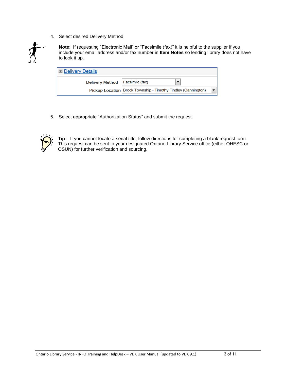4. Select desired Delivery Method.



**Note**: If requesting "Electronic Mail" or "Facsimile (fax)" it is helpful to the supplier if you include your email address and/or fax number in **Item Notes** so lending library does not have to look it up.

| Delivery Details                  |                                                                 |  |  |
|-----------------------------------|-----------------------------------------------------------------|--|--|
| Delivery Method   Facsimile (fax) |                                                                 |  |  |
|                                   | Pickup Location   Brock Township - Timothy Findley (Cannington) |  |  |

5. Select appropriate "Authorization Status" and submit the request.



**Tip**: If you cannot locate a serial title, follow directions for completing a blank request form. This request can be sent to your designated Ontario Library Service office (either OHESC or OSUN) for further verification and sourcing.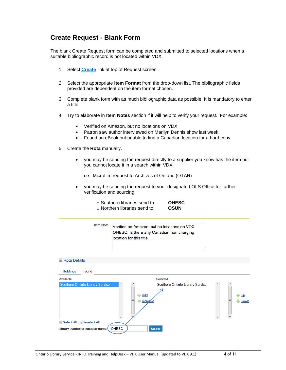## **Create Request - Blank Form**

The blank Create Request form can be completed and submitted to selected locations when a suitable bibliographic record is not located within VDX.

- 1. Select **[Create](http://info.hostedbyfdi.net:8000/en/vdx/zengine?VDXaction=IllAction&illno=0&user=)** link at top of Request screen.
- 2. Select the appropriate **Item Format** from the drop-down list. The bibliographic fields provided are dependent on the item format chosen.
- 3. Complete blank form with as much bibliographic data as possible. It is mandatory to enter a title.
- 4. Try to elaborate in **Item Notes** section if it will help to verify your request. For example:
	- Verified on Amazon, but no locations on VDX
	- Patron saw author interviewed on Marilyn Dennis show last week
	- Found an eBook but unable to find a Canadian location for a hard copy
- 5. Create the **Rota** manually.
	- you may be sending the request directly to a supplier you know has the item but you cannot locate it in a search within VDX.
		- i.e. Microfilm request to Archives of Ontario (OTAR)
	- you may be sending the request to your designated OLS Office for further verification and sourcing.
		- o Southern libraries send to **OHESC** o Northern libraries send to **OSUN**
			-

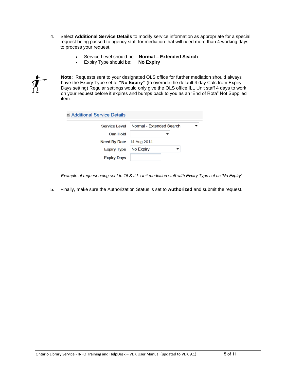- 4. Select **Additional Service Details** to modify service information as appropriate for a special request being passed to agency staff for mediation that will need more than 4 working days to process your request.
	- Service Level should be: **Normal – Extended Search**
	- Expiry Type should be: **No Expiry**



**Note:** Requests sent to your designated OLS office for further mediation should always have the Expiry Type set to **"No Expiry"** (to override the default 4 day Calc from Expiry Days setting) Regular settings would only give the OLS office ILL Unit staff 4 days to work on your request before it expires and bumps back to you as an 'End of Rota" Not Supplied item.

| Additional Service Details      |                          |
|---------------------------------|--------------------------|
| Service Level                   | Normal - Extended Search |
| <b>Can Hold</b>                 |                          |
| <b>Need By Date</b> 14 Aug 2014 |                          |
| <b>Expiry Type</b>              | No Expiry                |
| <b>Expiry Days</b>              |                          |

*Example of request being sent to OLS ILL Unit mediation staff with Expiry Type set as 'No Expiry'*

5. Finally, make sure the Authorization Status is set to **Authorized** and submit the request.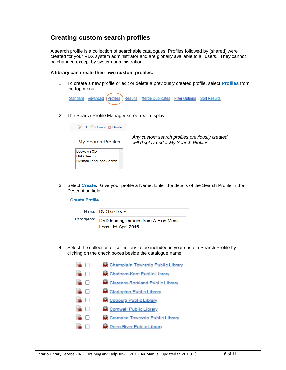## **Creating custom search profiles**

A search profile is a collection of searchable catalogues. Profiles followed by [shared] were created for your VDX system administrator and are globally available to all users. They cannot be changed except by system administration.

#### **A library can create their own custom profiles.**

1. To create a new profile or edit or delete a previously created profile, select **Profiles** from the top menu.



2. The Search Profile Manager screen will display.

Edit <sup>P</sup> Create © Delete My Search Profiles



*Any custom search profiles previously created will display under My Search Profiles.*

3. Select **Create**. Give your profile a Name. Enter the details of the Search Profile in the Description field.

**Create Profile** 

|              | Name: DVD Lenders A-F                   |
|--------------|-----------------------------------------|
| Description: | DVD lending libraries from A-F on Media |
|              | Loan List April 2016                    |

4. Select the collection or collections to be included in your custom Search Profile by clicking on the check boxes beside the catalogue name.

|        | Champlain Township Public Library |
|--------|-----------------------------------|
| п      | Chatham-Kent Public Library       |
| $\Box$ | Clarence-Rockland Public Library  |
| $\Box$ | Clarington Public Library         |
| П      | Cobourg Public Library            |
| $\Box$ | Cornwall Public Library           |
| H      | Cramahe Township Public Library   |
|        | Deep River Public Library         |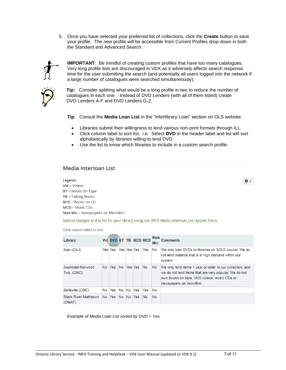5. Once you have selected your preferred list of collections, click the **Create** button to save your profile. The new profile will be accessible from Current Profiles drop-down in both the Standard and Advanced Search.



**IMPORTANT**: Be mindful of creating custom profiles that have too many catalogues. Very long profile lists are discouraged in VDX as it adversely affects search response time for the user submitting the search (and potentially all users logged into the network if a large number of catalogues were searched simultaneously).



 **Tip:** Consider splitting what would be a long profile in two to reduce the number of catalogues in each one. Instead of DVD Lenders (with all of them listed) create DVD Lenders A-F and DVD Lenders G-Z.

**Tip**: Consult the **Media Loan List** in the "Interlibrary Loan" section on OLS website.

- Libraries submit their willingness to lend various non-print formats through ILL.
- Click column label to sort list. i.e. Select **DVD** in the header label and list will sort alphabetically by libraries willing to lend DVD.
- Use the list to know which libraries to include in a custom search profile.

### **Media Interloan List**

Legend:  $Vid = Videos$ BT = Books On Tape  $TB = Talking Books$ **BCD** = Books on CD  $MCD = Music CDS$ Nws Mic = Newspapers on Microfilm

Submit changes to this list for your library using our INFO Media Interloan List Update Form.

Click column label to sort.

| Library                               |     |               |            |                    | Vid DVD BT TB BCD MCD | <b>Nws</b><br><b>Mic</b> | <b>Comments</b>                                                                                                                                                                               |
|---------------------------------------|-----|---------------|------------|--------------------|-----------------------|--------------------------|-----------------------------------------------------------------------------------------------------------------------------------------------------------------------------------------------|
| Ajax (OAJ)                            |     | Yes Yes       |            | <b>Yes Yes Yes</b> | <b>Yes</b>            | No                       | We only loan DVDs to libraries on SOLS courier. We do<br>not lend material that is in high demand within our<br>system.                                                                       |
| Asphodel-Norwood<br>Twp. (ONO)        | No. | Yes           | No Yes Yes |                    | <b>No</b>             | <b>No</b>                | We only lend items 1 year or older to our collection, and<br>we do not lend items that are very popular. We do not<br>own Books on tape, VHS videos, music CDs or<br>newspapers on microfilm. |
| Belleville (OBE)                      | No. | Yes No No Yes |            |                    | Yes                   | No.                      |                                                                                                                                                                                               |
| <b>Black River-Matheson</b><br>(OMAT) | No. | Yes No No Yes |            |                    | <b>No</b>             | <b>No</b>                |                                                                                                                                                                                               |

*Example of Media Loan List sorted by DVD = Yes*

ά.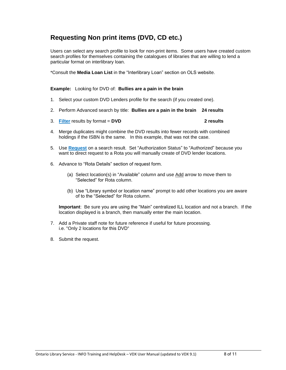# **Requesting Non print items (DVD, CD etc.)**

Users can select any search profile to look for non-print items. Some users have created custom search profiles for themselves containing the catalogues of libraries that are willing to lend a particular format on interlibrary loan.

\*Consult the **Media Loan List** in the "Interlibrary Loan" section on OLS website.

**Example:** Looking for DVD of: **Bullies are a pain in the brain** 

- 1. Select your custom DVD Lenders profile for the search (if you created one).
- 2. Perform Advanced search by title: **Bullies are a pain in the brain 24 results**
- 3. **Filter** results by format = **DVD 2 results**
	-
- 4. Merge duplicates might combine the DVD results into fewer records with combined holdings if the ISBN is the same. In this example, that was not the case.
- 5. Use **Request** on a search result. Set "Authorization Status" to "Authorized" because you want to direct request to a Rota you will manually create of DVD lender locations.
- 6. Advance to "Rota Details" section of request form.
	- (a) Select location(s) in "Available" column and use Add arrow to move them to "Selected" for Rota column.
	- (b) Use "Library symbol or location name" prompt to add other locations you are aware of to the "Selected" for Rota column.

**Important**: Be sure you are using the "Main" centralized ILL location and not a branch. If the location displayed is a branch, then manually enter the main location.

- 7. Add a Private staff note for future reference if useful for future processing. i.e. "Only 2 locations for this DVD"
- 8. Submit the request.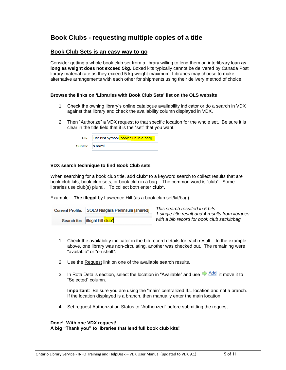## **Book Clubs - requesting multiple copies of a title**

### **Book Club Sets is an easy way to go**

Consider getting a whole book club set from a library willing to lend them on interlibrary loan **as long as weight does not exceed 5kg.** Boxed kits typically cannot be delivered by Canada Post library material rate as they exceed 5 kg weight maximum. Libraries may choose to make alternative arrangements with each other for shipments using their delivery method of choice.

#### **Browse the links on 'Libraries with Book Club Sets' list on the OLS website**

- 1. Check the owning library's online catalogue availability indicator or do a search in VDX against that library and check the availability column displayed in VDX.
- 2. Then "Authorize" a VDX request to that specific location for the whole set. Be sure it is clear in the title field that it is the "set" that you want.

|                  | Title   The lost symbol [book club in a bag] |
|------------------|----------------------------------------------|
| Subtitle a novel |                                              |

#### **VDX search technique to find Book Club sets**

When searching for a book club title, add **club\*** to a keyword search to collect results that are book club kits, book club sets, or book club in a bag. The common word is "club". Some libraries use club(s) plural. To collect both enter **club\***.

Example: **The illegal** by Lawrence Hill (as a book club set/kit/bag)

| Current Profile: SOLS Niagara Peninsula [shared] |  |
|--------------------------------------------------|--|
| Search for: illegal hill club <sup>*</sup>       |  |

*This search resulted in 5 hits: 1 single title result and 4 results from libraries with a bib record for book club set/kit/bag.*

- 1. Check the availability indicator in the bib record details for each result. In the example above, one library was non-circulating, another was checked out. The remaining were "available" or "on shelf".
- 2. Use the Request link on one of the available search results.
- 3. In Rota Details section, select the location in "Available" and use  $\Rightarrow$  Add it move it to "Selected" column.

**Important**: Be sure you are using the "main" centralized ILL location and not a branch. If the location displayed is a branch, then manually enter the main location.

**4.** Set request Authorization Status to "Authorized" before submitting the request.

#### **Done! With one VDX request!**

**A big "Thank you" to libraries that lend full book club kits!**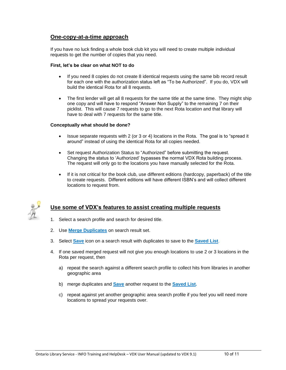### **One-copy-at-a-time approach**

If you have no luck finding a whole book club kit you will need to create multiple individual requests to get the number of copies that you need.

#### **First, let's be clear on what NOT to do**

- If you need 8 copies do not create 8 identical requests using the same bib record result for each one with the authorization status left as "To be Authorized". If you do, VDX will build the identical Rota for all 8 requests.
- The first lender will get all 8 requests for the same title at the same time. They might ship one copy and will have to respond "Answer Non Supply" to the remaining 7 on their picklist. This will cause 7 requests to go to the next Rota location and that library will have to deal with 7 requests for the same title.

#### **Conceptually what should be done?**

- Issue separate requests with 2 (or 3 or 4) locations in the Rota. The goal is to "spread it around" instead of using the identical Rota for all copies needed.
- Set request Authorization Status to "Authorized" before submitting the request. Changing the status to 'Authorized' bypasses the normal VDX Rota building process. The request will only go to the locations you have manually selected for the Rota.
- If it is not critical for the book club, use different editions (hardcopy, paperback) of the title to create requests. Different editions will have different ISBN's and will collect different locations to request from.



### **Use some of VDX's features to assist creating multiple requests**

- 1. Select a search profile and search for desired title.
- 2. Use **Merge Duplicates** on search result set.
- 3. Select **Save** icon on a search result with duplicates to save to the **Saved List**.
- 4. If one saved merged request will not give you enough locations to use 2 or 3 locations in the Rota per request, then
	- a) repeat the search against a different search profile to collect hits from libraries in another geographic area
	- b) merge duplicates and **Save** another request to the **Saved List.**
	- c) repeat against yet another geographic area search profile if you feel you will need more locations to spread your requests over.